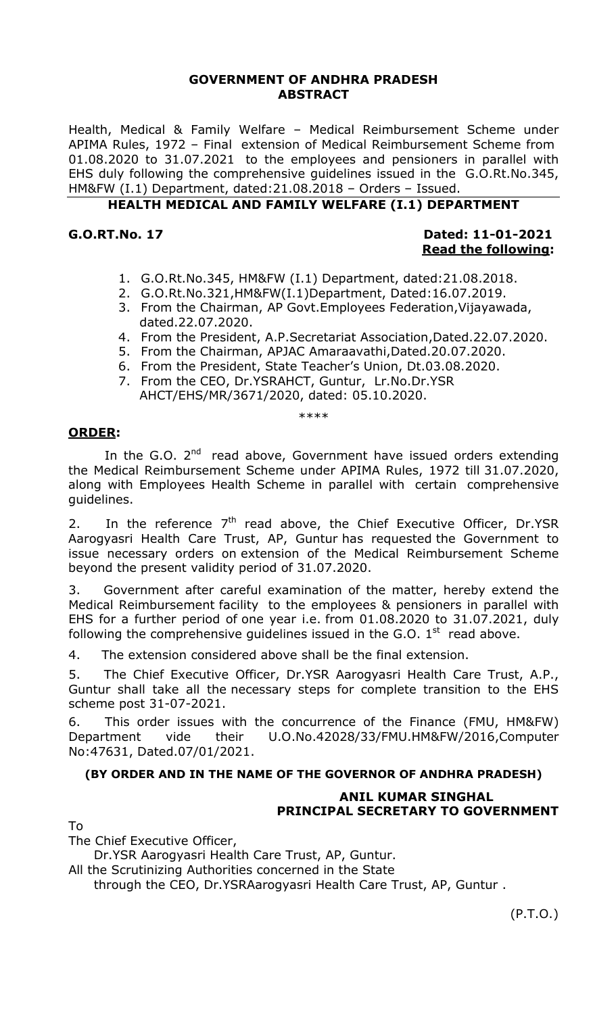## **GOVERNMENT OF ANDHRA PRADESH ABSTRACT**

Health, Medical & Family Welfare – Medical Reimbursement Scheme under APIMA Rules, 1972 – Final extension of Medical Reimbursement Scheme from 01.08.2020 to 31.07.2021 to the employees and pensioners in parallel with EHS duly following the comprehensive guidelines issued in the G.O.Rt.No.345, HM&FW (I.1) Department, dated:21.08.2018 – Orders – Issued.

## **HEALTH MEDICAL AND FAMILY WELFARE (I.1) DEPARTMENT**

## **G.O.RT.No. 17 Dated: 11-01-2021 Read the following:**

- 1. G.O.Rt.No.345, HM&FW (I.1) Department, dated:21.08.2018.
- 2. G.O.Rt.No.321,HM&FW(I.1)Department, Dated:16.07.2019.
- 3. From the Chairman, AP Govt.Employees Federation,Vijayawada, dated.22.07.2020.
- 4. From the President, A.P.Secretariat Association,Dated.22.07.2020.
- 5. From the Chairman, APJAC Amaraavathi,Dated.20.07.2020.
- 6. From the President, State Teacher's Union, Dt.03.08.2020.
- 7. From the CEO, Dr.YSRAHCT, Guntur, Lr.No.Dr.YSR AHCT/EHS/MR/3671/2020, dated: 05.10.2020.

\*\*\*\*

#### **ORDER:**

In the G.O.  $2^{nd}$  read above, Government have issued orders extending the Medical Reimbursement Scheme under APIMA Rules, 1972 till 31.07.2020, along with Employees Health Scheme in parallel with certain comprehensive guidelines.

2. In the reference  $7<sup>th</sup>$  read above, the Chief Executive Officer, Dr.YSR Aarogyasri Health Care Trust, AP, Guntur has requested the Government to issue necessary orders on extension of the Medical Reimbursement Scheme beyond the present validity period of 31.07.2020.

3. Government after careful examination of the matter, hereby extend the Medical Reimbursement facility to the employees & pensioners in parallel with EHS for a further period of one year i.e. from 01.08.2020 to 31.07.2021, duly following the comprehensive guidelines issued in the G.O.  $1<sup>st</sup>$  read above.

4. The extension considered above shall be the final extension.

5. The Chief Executive Officer, Dr.YSR Aarogyasri Health Care Trust, A.P., Guntur shall take all the necessary steps for complete transition to the EHS scheme post 31-07-2021.

6. This order issues with the concurrence of the Finance (FMU, HM&FW) Department vide their U.O.No.42028/33/FMU.HM&FW/2016,Computer No:47631, Dated.07/01/2021.

#### **(BY ORDER AND IN THE NAME OF THE GOVERNOR OF ANDHRA PRADESH)**

## **ANIL KUMAR SINGHAL PRINCIPAL SECRETARY TO GOVERNMENT**

## To

The Chief Executive Officer,

Dr.YSR Aarogyasri Health Care Trust, AP, Guntur.

All the Scrutinizing Authorities concerned in the State

through the CEO, Dr.YSRAarogyasri Health Care Trust, AP, Guntur .